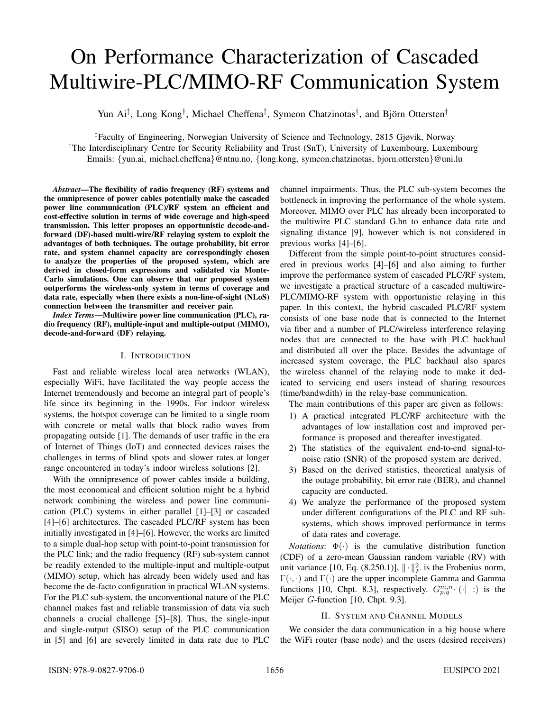# On Performance Characterization of Cascaded Multiwire-PLC/MIMO-RF Communication System

Yun Ai<sup>‡</sup>, Long Kong<sup>†</sup>, Michael Cheffena<sup>‡</sup>, Symeon Chatzinotas<sup>†</sup>, and Björn Ottersten<sup>†</sup>

‡Faculty of Engineering, Norwegian University of Science and Technology, 2815 Gjøvik, Norway †The Interdisciplinary Centre for Security Reliability and Trust (SnT), University of Luxembourg, Luxembourg Emails: {yun.ai, michael.cheffena}@ntnu.no, {long.kong, symeon.chatzinotas, bjorn.ottersten}@uni.lu

*Abstract*—The flexibility of radio frequency (RF) systems and the omnipresence of power cables potentially make the cascaded power line communication (PLC)/RF system an efficient and cost-effective solution in terms of wide coverage and high-speed transmission. This letter proposes an opportunistic decode-andforward (DF)-based multi-wire/RF relaying system to exploit the advantages of both techniques. The outage probability, bit error rate, and system channel capacity are correspondingly chosen to analyze the properties of the proposed system, which are derived in closed-form expressions and validated via Monte-Carlo simulations. One can observe that our proposed system outperforms the wireless-only system in terms of coverage and data rate, especially when there exists a non-line-of-sight (NLoS) connection between the transmitter and receiver pair.

*Index Terms*—Multiwire power line communication (PLC), radio frequency (RF), multiple-input and multiple-output (MIMO), decode-and-forward (DF) relaying.

# I. INTRODUCTION

Fast and reliable wireless local area networks (WLAN), especially WiFi, have facilitated the way people access the Internet tremendously and become an integral part of people's life since its beginning in the 1990s. For indoor wireless systems, the hotspot coverage can be limited to a single room with concrete or metal walls that block radio waves from propagating outside [1]. The demands of user traffic in the era of Internet of Things (IoT) and connected devices raises the challenges in terms of blind spots and slower rates at longer range encountered in today's indoor wireless solutions [2].

With the omnipresence of power cables inside a building, the most economical and efficient solution might be a hybrid network combining the wireless and power line communication (PLC) systems in either parallel [1]–[3] or cascaded [4]–[6] architectures. The cascaded PLC/RF system has been initially investigated in [4]–[6]. However, the works are limited to a simple dual-hop setup with point-to-point transmission for the PLC link; and the radio frequency (RF) sub-system cannot be readily extended to the multiple-input and multiple-output (MIMO) setup, which has already been widely used and has become the de-facto configuration in practical WLAN systems. For the PLC sub-system, the unconventional nature of the PLC channel makes fast and reliable transmission of data via such channels a crucial challenge [5]–[8]. Thus, the single-input and single-output (SISO) setup of the PLC communication in [5] and [6] are severely limited in data rate due to PLC channel impairments. Thus, the PLC sub-system becomes the bottleneck in improving the performance of the whole system. Moreover, MIMO over PLC has already been incorporated to the multiwire PLC standard G.hn to enhance data rate and signaling distance [9], however which is not considered in previous works [4]–[6].

Different from the simple point-to-point structures considered in previous works [4]–[6] and also aiming to further improve the performance system of cascaded PLC/RF system, we investigate a practical structure of a cascaded multiwire-PLC/MIMO-RF system with opportunistic relaying in this paper. In this context, the hybrid cascaded PLC/RF system consists of one base node that is connected to the Internet via fiber and a number of PLC/wireless interference relaying nodes that are connected to the base with PLC backhaul and distributed all over the place. Besides the advantage of increased system coverage, the PLC backhaul also spares the wireless channel of the relaying node to make it dedicated to servicing end users instead of sharing resources (time/bandwdith) in the relay-base communication.

The main contributions of this paper are given as follows:

- 1) A practical integrated PLC/RF architecture with the advantages of low installation cost and improved performance is proposed and thereafter investigated.
- 2) The statistics of the equivalent end-to-end signal-tonoise ratio (SNR) of the proposed system are derived.
- 3) Based on the derived statistics, theoretical analysis of the outage probability, bit error rate (BER), and channel capacity are conducted.
- 4) We analyze the performance of the proposed system under different configurations of the PLC and RF subsystems, which shows improved performance in terms of data rates and coverage.

*Notations*:  $\Phi(\cdot)$  is the cumulative distribution function (CDF) of a zero-mean Gaussian random variable (RV) with unit variance [10, Eq. (8.250.1)],  $\|\cdot\|_F^2$  is the Frobenius norm,  $\Gamma(\cdot, \cdot)$  and  $\Gamma(\cdot)$  are the upper incomplete Gamma and Gamma functions [10, Chpt. 8.3], respectively.  $G_{p,q}^{m,n} \cdot (\cdot | \cdot)$  is the Meijer G-function [10, Chpt. 9.3].

# II. SYSTEM AND CHANNEL MODELS

We consider the data communication in a big house where the WiFi router (base node) and the users (desired receivers)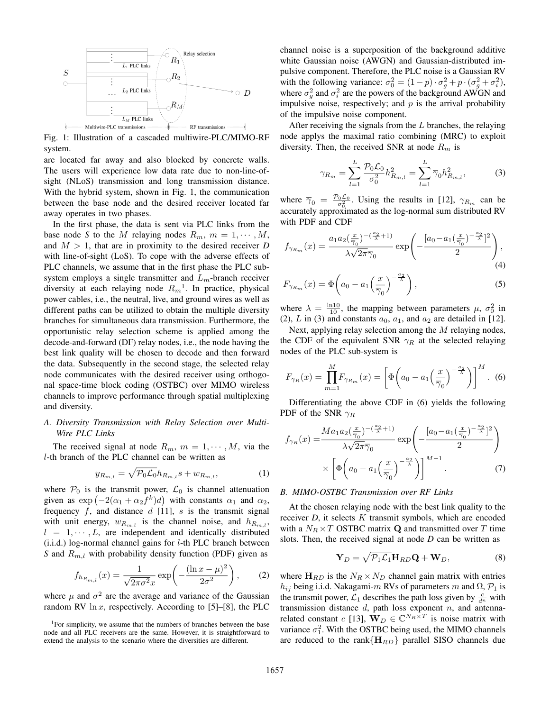

Fig. 1: Illustration of a cascaded multiwire-PLC/MIMO-RF system.

are located far away and also blocked by concrete walls. The users will experience low data rate due to non-line-ofsight (NLoS) transmission and long transmission distance. With the hybrid system, shown in Fig. 1, the communication between the base node and the desired receiver located far away operates in two phases.

In the first phase, the data is sent via PLC links from the base node *S* to the *M* relaying nodes  $R_m$ ,  $m = 1, \dots, M$ , and  $M > 1$ , that are in proximity to the desired receiver *D* with line-of-sight (LoS). To cope with the adverse effects of PLC channels, we assume that in the first phase the PLC subsystem employs a single transmitter and  $L<sub>m</sub>$ -branch receiver diversity at each relaying node  $R_m$ <sup>1</sup>. In practice, physical power cables, i.e., the neutral, live, and ground wires as well as different paths can be utilized to obtain the multiple diversity branches for simultaneous data transmission. Furthermore, the opportunistic relay selection scheme is applied among the decode-and-forward (DF) relay nodes, i.e., the node having the best link quality will be chosen to decode and then forward the data. Subsequently in the second stage, the selected relay node communicates with the desired receiver using orthogonal space-time block coding (OSTBC) over MIMO wireless channels to improve performance through spatial multiplexing and diversity.

# *A. Diversity Transmission with Relay Selection over Multi-Wire PLC Links*

The received signal at node  $R_m$ ,  $m = 1, \dots, M$ , via the l-th branch of the PLC channel can be written as

$$
y_{R_{m,l}} = \sqrt{\mathcal{P}_0 \mathcal{L}_0} h_{R_{m,l}} s + w_{R_{m,l}}, \tag{1}
$$

where  $P_0$  is the transmit power,  $\mathcal{L}_0$  is channel attenuation given as  $\exp(-2(\alpha_1 + \alpha_2 f^k)d)$  with constants  $\alpha_1$  and  $\alpha_2$ , frequency  $f$ , and distance  $d$  [11],  $s$  is the transmit signal with unit energy,  $w_{R_{m,l}}$  is the channel noise, and  $h_{R_{m,l}}$ ,  $l = 1, \dots, L$ , are independent and identically distributed  $(i.i.d.)$  log-normal channel gains for  $l$ -th PLC branch between *S* and  $R_{m,l}$  with probability density function (PDF) given as

$$
f_{h_{R_{m,l}}}(x) = \frac{1}{\sqrt{2\pi\sigma^2}x} \exp\left(-\frac{(\ln x - \mu)^2}{2\sigma^2}\right),
$$
 (2)

where  $\mu$  and  $\sigma^2$  are the average and variance of the Gaussian random RV  $\ln x$ , respectively. According to [5]–[8], the PLC channel noise is a superposition of the background additive white Gaussian noise (AWGN) and Gaussian-distributed impulsive component. Therefore, the PLC noise is a Gaussian RV with the following variance:  $\sigma_0^2 = (1 - p) \cdot \sigma_g^2 + p \cdot (\sigma_g^2 + \sigma_i^2)$ , where  $\sigma_g^2$  and  $\sigma_i^2$  are the powers of the background AWGN and impulsive noise, respectively; and  $p$  is the arrival probability of the impulsive noise component.

After receiving the signals from the  $L$  branches, the relaying node applys the maximal ratio combining (MRC) to exploit diversity. Then, the received SNR at node  $R_m$  is

$$
\gamma_{R_m} = \sum_{l=1}^{L} \frac{\mathcal{P}_0 \mathcal{L}_0}{\sigma_0^2} h_{R_{m,l}}^2 = \sum_{l=1}^{L} \overline{\gamma}_0 h_{R_{m,l}}^2, \tag{3}
$$

where  $\overline{\gamma}_0 = \frac{P_0 \mathcal{L}_0}{\sigma_0^2}$ . Using the results in [12],  $\gamma_{R_m}$  can be accurately approximated as the log-normal sum distributed RV with PDF and CDF

$$
f_{\gamma_{R_m}}(x) = \frac{a_1 a_2 (\frac{x}{\overline{\gamma}_0})^{-(\frac{a_2}{\lambda}+1)}}{\lambda \sqrt{2\pi} \overline{\gamma}_0} \exp\left(-\frac{[a_0 - a_1 (\frac{x}{\overline{\gamma}_0})^{-\frac{a_2}{\lambda}}]^2}{2}\right),\tag{4}
$$

$$
F_{\gamma_{R_m}}(x) = \Phi\left(a_0 - a_1 \left(\frac{x}{\overline{\gamma}_0}\right)^{-\frac{a_2}{\lambda}}\right),\tag{5}
$$

where  $\lambda = \frac{\ln 10}{10}$ , the mapping between parameters  $\mu$ ,  $\sigma_0^2$  in (2), L in (3) and constants  $a_0$ ,  $a_1$ , and  $a_2$  are detailed in [12].

Next, applying relay selection among the M relaying nodes, the CDF of the equivalent SNR  $\gamma_R$  at the selected relaying nodes of the PLC sub-system is

$$
F_{\gamma_R}(x) = \prod_{m=1}^{M} F_{\gamma_{R_m}}(x) = \left[ \Phi\left(a_0 - a_1 \left(\frac{x}{\overline{\gamma}_0}\right)^{-\frac{a_2}{\lambda}}\right) \right]^M. \tag{6}
$$

Differentiating the above CDF in (6) yields the following PDF of the SNR  $\gamma_R$ 

$$
f_{\gamma_R}(x) = \frac{Ma_1 a_2 \left(\frac{x}{\overline{\gamma}_0}\right)^{-(\frac{a_2}{\lambda}+1)}}{\lambda \sqrt{2\pi} \overline{\gamma}_0} \exp\left(-\frac{[a_0 - a_1 \left(\frac{x}{\overline{\gamma}_0}\right)^{-\frac{a_2}{\lambda}}]^2}{2}\right)
$$

$$
\times \left[\Phi\left(a_0 - a_1 \left(\frac{x}{\overline{\gamma}_0}\right)^{-\frac{a_2}{\lambda}}\right)\right]^{M-1}.\tag{7}
$$

### *B. MIMO-OSTBC Transmission over RF Links*

At the chosen relaying node with the best link quality to the receiver *D*, it selects *K* transmit symbols, which are encoded with a  $N_R \times T$  OSTBC matrix **Q** and transmitted over T time slots. Then, the received signal at node *D* can be written as

$$
\mathbf{Y}_D = \sqrt{\mathcal{P}_1 \mathcal{L}_1} \mathbf{H}_{RD} \mathbf{Q} + \mathbf{W}_D, \tag{8}
$$

where  $H_{RD}$  is the  $N_R \times N_D$  channel gain matrix with entries  $h_{ij}$  being i.i.d. Nakagami-m RVs of parameters m and  $\Omega$ ,  $\mathcal{P}_1$  is the transmit power,  $\mathcal{L}_1$  describes the path loss given by  $\frac{c}{d^n}$  with transmission distance  $d$ , path loss exponent  $n$ , and antennarelated constant c [13],  $\mathbf{W}_D \in \mathbb{C}^{N_R \times T}$  is noise matrix with variance  $\sigma_1^2$ . With the OSTBC being used, the MIMO channels are reduced to the rank ${H_{RD}}$  parallel SISO channels due

 $1$ For simplicity, we assume that the numbers of branches between the base node and all PLC receivers are the same. However, it is straightforward to extend the analysis to the scenario where the diversities are different.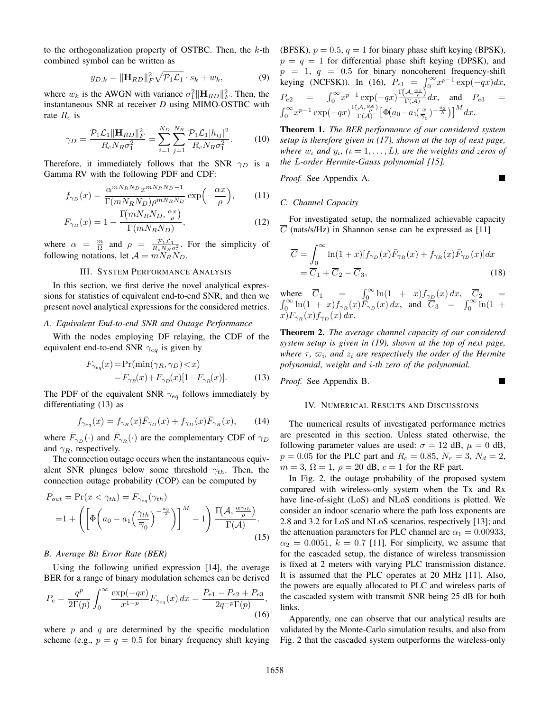to the orthogonalization property of OSTBC. Then, the  $k$ -th combined symbol can be written as

$$
y_{D,k} = \|\mathbf{H}_{RD}\|_F^2 \sqrt{\mathcal{P}_1 \mathcal{L}_1} \cdot s_k + w_k, \tag{9}
$$

where  $w_k$  is the AWGN with variance  $\sigma_1^2 \|\mathbf{H}_{RD}\|_F^2$ . Then, the instantaneous SNR at receiver *D* using MIMO-OSTBC with rate  $R_c$  is

$$
\gamma_D = \frac{\mathcal{P}_1 \mathcal{L}_1 \|\mathbf{H}_{RD}\|_F^2}{R_c N_R \sigma_1^2} = \sum_{i=1}^{N_D} \sum_{j=1}^{N_R} \frac{\mathcal{P}_1 \mathcal{L}_1 |h_{ij}|^2}{R_c N_R \sigma_1^2}.
$$
 (10)

Therefore, it immediately follows that the SNR  $\gamma_D$  is a Gamma RV with the following PDF and CDF:

$$
f_{\gamma_D}(x) = \frac{\alpha^{mN_R N_D} x^{mN_R N_D - 1}}{\Gamma(mN_R N_D)\rho^{mN_R N_D}} \exp\left(-\frac{\alpha x}{\rho}\right),\tag{11}
$$

$$
F_{\gamma_D}(x) = 1 - \frac{\Gamma(mN_R N_D, \frac{\alpha x}{\rho})}{\Gamma(mN_R N_D)},
$$
\n(12)

where  $\alpha = \frac{m}{\Omega}$  and  $\rho = \frac{p_1 \mathcal{L}_1}{R_c N_R \sigma_{\lambda}^2}$ . For the simplicity of following notations, let  $A = mN_RN_D$ .

### III. SYSTEM PERFORMANCE ANALYSIS

In this section, we first derive the novel analytical expressions for statistics of equivalent end-to-end SNR, and then we present novel analytical expressions for the considered metrics.

### *A. Equivalent End-to-end SNR and Outage Performance*

With the nodes employing DF relaying, the CDF of the equivalent end-to-end SNR  $\gamma_{eq}$  is given by

$$
F_{\gamma_{eq}}(x) = \Pr(\min(\gamma_R, \gamma_D) < x) \\
= F_{\gamma_R}(x) + F_{\gamma_D}(x)[1 - F_{\gamma_R}(x)].\n\tag{13}
$$

The PDF of the equivalent SNR  $\gamma_{eq}$  follows immediately by differentiating (13) as

$$
f_{\gamma_{eq}}(x) = f_{\gamma_R}(x)\bar{F}_{\gamma_D}(x) + f_{\gamma_D}(x)\bar{F}_{\gamma_R}(x),\qquad(14)
$$

where  $\bar{F}_{\gamma_D}(\cdot)$  and  $\bar{F}_{\gamma_R}(\cdot)$  are the complementary CDF of  $\gamma_D$ and  $\gamma_R$ , respectively.

The connection outage occurs when the instantaneous equivalent SNR plunges below some threshold  $\gamma_{th}$ . Then, the connection outage probability (COP) can be computed by

$$
P_{out} = \Pr(x < \gamma_{th}) = F_{\gamma_{eq}}(\gamma_{th})
$$
\n
$$
= 1 + \left( \left[ \Phi\left(a_0 - a_1 \left(\frac{\gamma_{th}}{\overline{\gamma}_0}\right)^{-\frac{a_2}{\lambda}} \right) \right]^M - 1 \right) \frac{\Gamma(\mathcal{A}, \frac{\alpha \gamma_{th}}{\rho})}{\Gamma(\mathcal{A})}.
$$
\n
$$
(15)
$$

### *B. Average Bit Error Rate (BER)*

Using the following unified expression [14], the average BER for a range of binary modulation schemes can be derived

$$
P_e = \frac{q^p}{2\Gamma(p)} \int_0^\infty \frac{\exp(-qx)}{x^{1-p}} F_{\gamma_{eq}}(x) \, dx = \frac{P_{e1} - P_{e2} + P_{e3}}{2q^{-p}\Gamma(p)},\tag{16}
$$

where  $p$  and  $q$  are determined by the specific modulation scheme (e.g.,  $p = q = 0.5$  for binary frequency shift keying (BFSK),  $p = 0.5$ ,  $q = 1$  for binary phase shift keying (BPSK),  $p = q = 1$  for differential phase shift keying (DPSK), and  $p = 1, q = 0.5$  for binary noncoherent frequency-shift keying (NCFSK)). In (16),  $P_{e_1} = \int_0^\infty x^{p-1} \exp(-qx) dx$ ,  $P_{e2} = \int_0^\infty x^{p-1} \exp(-qx) \frac{\Gamma(A, \frac{\alpha x}{\rho})}{\Gamma(A)} dx$ , and  $P_{e3} =$  $\int_0^\infty x^{p-1} \exp(-qx) \frac{\Gamma(\mathcal{A}, \frac{\alpha x}{\rho})}{\Gamma(\mathcal{A})}$  $\frac{(\mathcal{A},\frac{\alpha x}{\rho})}{\Gamma(\mathcal{A})}\left[\Phi(a_0-a_1(\frac{x}{\overline{\gamma}_0})^{-\frac{a_2}{\lambda}})\right]^M dx.$ 

Theorem 1. *The BER performance of our considered system setup is therefore given in (17), shown at the top of next page, where*  $w_{\iota}$  and  $y_{\iota}$ ,  $(\iota = 1, \ldots, L)$ , are the weights and zeros of *the* L*-order Hermite-Gauss polynomial [15].*

*Proof.* See Appendix A.

## *C. Channel Capacity*

For investigated setup, the normalized achievable capacity  $\overline{C}$  (nats/s/Hz) in Shannon sense can be expressed as [11]

$$
\overline{C} = \int_0^\infty \ln(1+x)[f_{\gamma_D}(x)\overline{F}_{\gamma_R}(x) + f_{\gamma_R}(x)\overline{F}_{\gamma_D}(x)]dx \n= \overline{C}_1 + \overline{C}_2 - \overline{C}_3,
$$
\n(18)

where  $\overline{C}_1$  =  $\int_0^\infty \ln(1 + x) f_{\gamma}(\overline{x}) dx$ ,  $\overline{C}_2$  =  $\int_0^\infty \ln(1+x) f_{\gamma_R}(x) F_{\gamma_D}(x) dx$ , and  $\overline{C}_3 = \int_0^\infty \ln(1+x) f_{\gamma_R}(x) dx$  $x)F_{\gamma_R}(x)f_{\gamma_D}(x) dx.$ 

Theorem 2. *The average channel capacity of our considered system setup is given in (19), shown at the top of next page,* where  $\tau$ ,  $\varpi_i$ , and  $z_i$  are respectively the order of the Hermite *polynomial, weight and* i*-th zero of the polynomial.*

*Proof.* See Appendix B.

### IV. NUMERICAL RESULTS AND DISCUSSIONS

The numerical results of investigated performance metrics are presented in this section. Unless stated otherwise, the following parameter values are used:  $\sigma = 12$  dB,  $\mu = 0$  dB,  $p = 0.05$  for the PLC part and  $R_c = 0.85$ ,  $N_r = 3$ ,  $N_d = 2$ ,  $m = 3$ ,  $\Omega = 1$ ,  $\rho = 20$  dB,  $c = 1$  for the RF part.

In Fig. 2, the outage probability of the proposed system compared with wireless-only system when the Tx and Rx have line-of-sight (LoS) and NLoS conditions is plotted. We consider an indoor scenario where the path loss exponents are 2.8 and 3.2 for LoS and NLoS scenarios, respectively [13]; and the attenuation parameters for PLC channel are  $\alpha_1 = 0.00933$ ,  $\alpha_2 = 0.0051$ ,  $k = 0.7$  [11]. For simplicity, we assume that for the cascaded setup, the distance of wireless transmission is fixed at 2 meters with varying PLC transmission distance. It is assumed that the PLC operates at 20 MHz [11]. Also, the powers are equally allocated to PLC and wireless parts of the cascaded system with transmit SNR being 25 dB for both links.

Apparently, one can observe that our analytical results are validated by the Monte-Carlo simulation results, and also from Fig. 2 that the cascaded system outperforms the wireless-only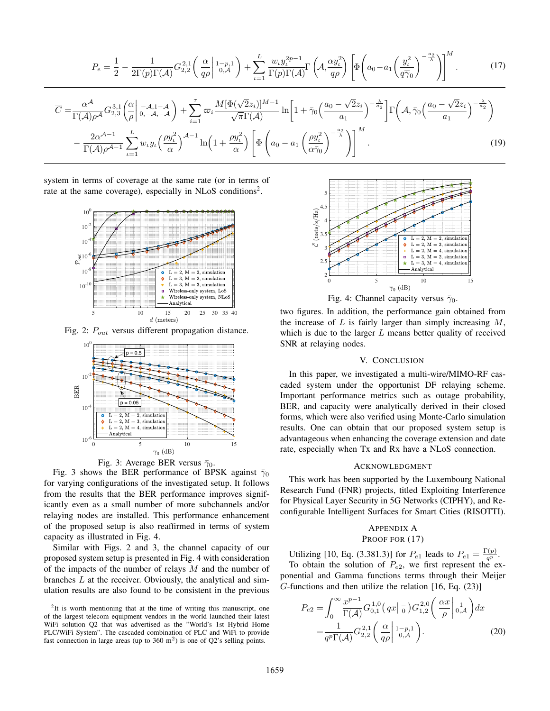$$
P_e = \frac{1}{2} - \frac{1}{2\Gamma(p)\Gamma(\mathcal{A})} G_{2,2}^{2,1} \left(\frac{\alpha}{q\rho}\Big|_{0,\mathcal{A}}^{1-p,1}\right) + \sum_{\iota=1}^L \frac{w_{\iota} y_{\iota}^{2p-1}}{\Gamma(p)\Gamma(\mathcal{A})} \Gamma\left(\mathcal{A}, \frac{\alpha y_{\iota}^2}{q\rho}\right) \left[\Phi\left(a_0 - a_1\left(\frac{y_{\iota}^2}{q\overline{\gamma}_0}\right)^{-\frac{a_2}{\lambda}}\right)\right]^M.
$$
(17)  

$$
\overline{C} = \frac{\alpha^{\mathcal{A}}}{\Gamma(\mathcal{A})\rho^{\mathcal{A}}} G_{2,3}^{3,1} \left(\frac{\alpha}{\rho}\Big|_{0,-\mathcal{A},1-\mathcal{A}}^{0,-\mathcal{A}}\right) + \sum_{i=1}^{\tau} \varpi_i \frac{M[\Phi(\sqrt{2}z_i)]^{M-1}}{\sqrt{\pi}\Gamma(\mathcal{A})} \ln\left[1 + \bar{\gamma}_0\left(\frac{a_0 - \sqrt{2}z_i}{a_1}\right)^{-\frac{\lambda}{a_2}}\right] \Gamma\left(\mathcal{A}, \bar{\gamma}_0\left(\frac{a_0 - \sqrt{2}z_i}{a_1}\right)^{-\frac{\lambda}{a_2}}\right)
$$

$$
- \frac{2\alpha^{\mathcal{A}-1}}{\Gamma(\mathcal{A})\rho^{\mathcal{A}-1}} \sum_{\iota=1}^L w_{\iota} y_{\iota} \left(\frac{\rho y_{\iota}^2}{\alpha}\right)^{\mathcal{A}-1} \ln\left(1 + \frac{\rho y_{\iota}^2}{\alpha}\right) \left[\Phi\left(a_0 - a_1\left(\frac{\rho y_{\iota}^2}{\alpha\bar{\gamma}_0}\right)^{-\frac{a_2}{\lambda}}\right)\right]^M.
$$
(19)

system in terms of coverage at the same rate (or in terms of rate at the same coverage), especially in NLoS conditions<sup>2</sup>.



Fig. 2:  $P_{out}$  versus different propagation distance.



Fig. 3: Average BER versus  $\bar{\gamma}_0$ .

Fig. 3 shows the BER performance of BPSK against  $\bar{\gamma}_0$ for varying configurations of the investigated setup. It follows from the results that the BER performance improves significantly even as a small number of more subchannels and/or relaying nodes are installed. This performance enhancement of the proposed setup is also reaffirmed in terms of system capacity as illustrated in Fig. 4.

Similar with Figs. 2 and 3, the channel capacity of our proposed system setup is presented in Fig. 4 with consideration of the impacts of the number of relays M and the number of branches L at the receiver. Obviously, the analytical and simulation results are also found to be consistent in the previous



Fig. 4: Channel capacity versus  $\bar{\gamma}_0$ .

two figures. In addition, the performance gain obtained from the increase of  $L$  is fairly larger than simply increasing  $M$ , which is due to the larger  $L$  means better quality of received SNR at relaying nodes.

# V. CONCLUSION

In this paper, we investigated a multi-wire/MIMO-RF cascaded system under the opportunist DF relaying scheme. Important performance metrics such as outage probability, BER, and capacity were analytically derived in their closed forms, which were also verified using Monte-Carlo simulation results. One can obtain that our proposed system setup is advantageous when enhancing the coverage extension and date rate, especially when Tx and Rx have a NLoS connection.

### ACKNOWLEDGMENT

This work has been supported by the Luxembourg National Research Fund (FNR) projects, titled Exploiting Interference for Physical Layer Security in 5G Networks (CIPHY), and Reconfigurable Intelligent Surfaces for Smart Cities (RISOTTI).

# APPENDIX A PROOF FOR  $(17)$

Utilizing [10, Eq. (3.381.3)] for  $P_{e1}$  leads to  $P_{e1} = \frac{\Gamma(p)}{qP}$  $\frac{(p)}{q^p}.$ To obtain the solution of  $P_{e2}$ , we first represent the exponential and Gamma functions terms through their Meijer G-functions and then utilize the relation [16, Eq. (23)]

$$
P_{e2} = \int_0^\infty \frac{x^{p-1}}{\Gamma(\mathcal{A})} G_{0,1}^{1,0} (qx | \frac{\tau}{0}) G_{1,2}^{2,0} \left( \frac{\alpha x}{\rho} \middle|_{0,\mathcal{A}} \right) dx
$$

$$
= \frac{1}{q^p \Gamma(\mathcal{A})} G_{2,2}^{2,1} \left( \frac{\alpha}{q \rho} \middle|_{0,\mathcal{A}} 1_{-p,1} \right).
$$
(20)

 $2$ It is worth mentioning that at the time of writing this manuscript, one of the largest telecom equipment vendors in the world launched their latest WiFi solution Q2 that was advertised as the "World's 1st Hybrid Home PLC/WiFi System". The cascaded combination of PLC and WiFi to provide fast connection in large areas (up to  $360 \text{ m}^2$ ) is one of Q2's selling points.